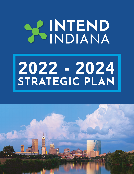# **SCINTEND**

# **2022 - 2024 STRATEGIC PLAN**

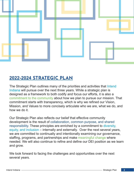

# **2022-2024 STRATEGIC PLAN**

The Strategic Plan outlines many of the priorities and activities that Intend Indiana will pursue over the next three years. While a strategic plan is designed as a framework to both codify and focus our efforts, it is also a commitment to the community about how we plan to pursue our mission. That commitment starts with transparency, which is why we refined our Vision, Mission, and Values to more concisely articulate who we are, what we do, and how we do it.

Our Strategic Plan also reflects our belief that effective community development is the result of collaboration, common purpose, and shared responsibility. These principles are enriched by a commitment to diversity, equity, and inclusion – internally and externally. Over the next several years, we are committed to continually and intentionally examining our governance, staffing, programs, and partnerships and make meaningful change where needed. We will also continue to refine and define our DEI position as we learn and grow.

We look forward to facing the challenges and opportunities over the next several years.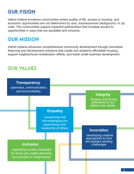# **OUR VISION**

Intend Indiana envisions communities where quality of life, access to housing, and economic opportunities are not determined by race, socioeconomic background, or zip code. The communities support impactful partnerships that increase access to opportunities in ways that are equitable and inclusive.

## **OUR MISSION**

Intend Indiana advances comprehensive community development through innovative financing and development solutions that create and preserve affordable housing, support neighborhood revitalization efforts, and foster small business development.

### **OUR VALUES**